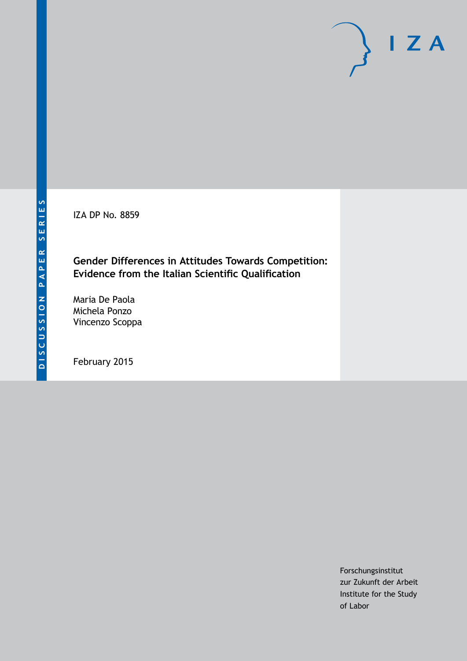IZA DP No. 8859

## **Gender Differences in Attitudes Towards Competition: Evidence from the Italian Scientific Qualification**

Maria De Paola Michela Ponzo Vincenzo Scoppa

February 2015

Forschungsinstitut zur Zukunft der Arbeit Institute for the Study of Labor

 $I Z A$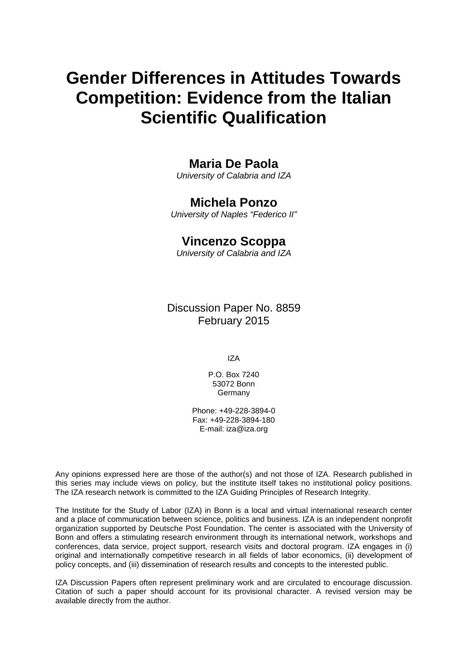# **Gender Differences in Attitudes Towards Competition: Evidence from the Italian Scientific Qualification**

### **Maria De Paola**

*University of Calabria and IZA*

### **Michela Ponzo**

*University of Naples "Federico II"*

### **Vincenzo Scoppa**

*University of Calabria and IZA*

Discussion Paper No. 8859 February 2015

IZA

P.O. Box 7240 53072 Bonn Germany

Phone: +49-228-3894-0 Fax: +49-228-3894-180 E-mail: [iza@iza.org](mailto:iza@iza.org)

Any opinions expressed here are those of the author(s) and not those of IZA. Research published in this series may include views on policy, but the institute itself takes no institutional policy positions. The IZA research network is committed to the IZA Guiding Principles of Research Integrity.

The Institute for the Study of Labor (IZA) in Bonn is a local and virtual international research center and a place of communication between science, politics and business. IZA is an independent nonprofit organization supported by Deutsche Post Foundation. The center is associated with the University of Bonn and offers a stimulating research environment through its international network, workshops and conferences, data service, project support, research visits and doctoral program. IZA engages in (i) original and internationally competitive research in all fields of labor economics, (ii) development of policy concepts, and (iii) dissemination of research results and concepts to the interested public.

<span id="page-1-0"></span>IZA Discussion Papers often represent preliminary work and are circulated to encourage discussion. Citation of such a paper should account for its provisional character. A revised version may be available directly from the author.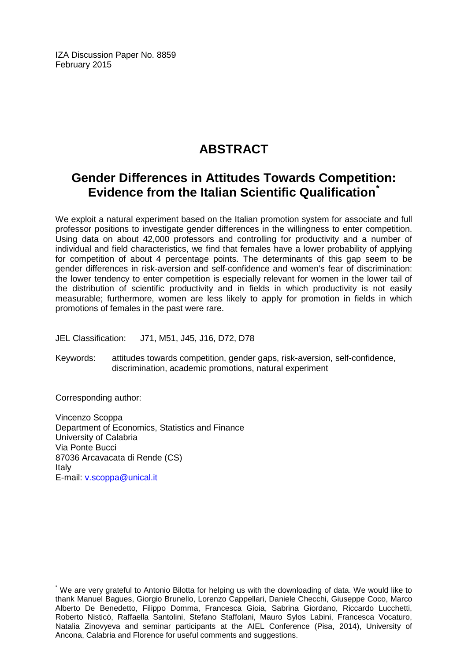IZA Discussion Paper No. 8859 February 2015

## **ABSTRACT**

## **Gender Differences in Attitudes Towards Competition: Evidence from the Italian Scientific Qualification[\\*](#page-1-0)**

We exploit a natural experiment based on the Italian promotion system for associate and full professor positions to investigate gender differences in the willingness to enter competition. Using data on about 42,000 professors and controlling for productivity and a number of individual and field characteristics, we find that females have a lower probability of applying for competition of about 4 percentage points. The determinants of this gap seem to be gender differences in risk-aversion and self-confidence and women's fear of discrimination: the lower tendency to enter competition is especially relevant for women in the lower tail of the distribution of scientific productivity and in fields in which productivity is not easily measurable; furthermore, women are less likely to apply for promotion in fields in which promotions of females in the past were rare.

JEL Classification: J71, M51, J45, J16, D72, D78

Keywords: attitudes towards competition, gender gaps, risk-aversion, self-confidence, discrimination, academic promotions, natural experiment

Corresponding author:

Vincenzo Scoppa Department of Economics, Statistics and Finance University of Calabria Via Ponte Bucci 87036 Arcavacata di Rende (CS) Italy E-mail: [v.scoppa@unical.it](mailto:v.scoppa@unical.it)

We are very grateful to Antonio Bilotta for helping us with the downloading of data. We would like to thank Manuel Bagues, Giorgio Brunello, Lorenzo Cappellari, Daniele Checchi, Giuseppe Coco, Marco Alberto De Benedetto, Filippo Domma, Francesca Gioia, Sabrina Giordano, Riccardo Lucchetti, Roberto Nisticò, Raffaella Santolini, Stefano Staffolani, Mauro Sylos Labini, Francesca Vocaturo, Natalia Zinovyeva and seminar participants at the AIEL Conference (Pisa, 2014), University of Ancona, Calabria and Florence for useful comments and suggestions.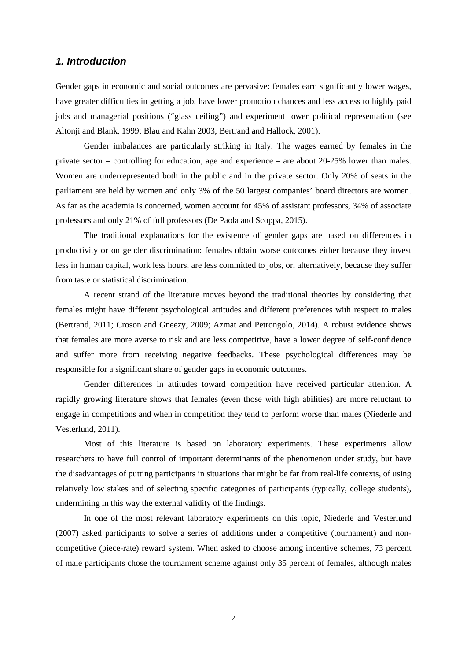#### *1. Introduction*

Gender gaps in economic and social outcomes are pervasive: females earn significantly lower wages, have greater difficulties in getting a job, have lower promotion chances and less access to highly paid jobs and managerial positions ("glass ceiling") and experiment lower political representation (see Altonji and Blank, 1999; Blau and Kahn 2003; Bertrand and Hallock, 2001).

Gender imbalances are particularly striking in Italy. The wages earned by females in the private sector – controlling for education, age and experience – are about 20-25% lower than males. Women are underrepresented both in the public and in the private sector. Only 20% of seats in the parliament are held by women and only 3% of the 50 largest companies' board directors are women. As far as the academia is concerned, women account for 45% of assistant professors, 34% of associate professors and only 21% of full professors (De Paola and Scoppa, 2015).

The traditional explanations for the existence of gender gaps are based on differences in productivity or on gender discrimination: females obtain worse outcomes either because they invest less in human capital, work less hours, are less committed to jobs, or, alternatively, because they suffer from taste or statistical discrimination.

A recent strand of the literature moves beyond the traditional theories by considering that females might have different psychological attitudes and different preferences with respect to males (Bertrand, 2011; Croson and Gneezy, 2009; Azmat and Petrongolo, 2014). A robust evidence shows that females are more averse to risk and are less competitive, have a lower degree of self-confidence and suffer more from receiving negative feedbacks. These psychological differences may be responsible for a significant share of gender gaps in economic outcomes.

Gender differences in attitudes toward competition have received particular attention. A rapidly growing literature shows that females (even those with high abilities) are more reluctant to engage in competitions and when in competition they tend to perform worse than males (Niederle and Vesterlund, 2011).

Most of this literature is based on laboratory experiments. These experiments allow researchers to have full control of important determinants of the phenomenon under study, but have the disadvantages of putting participants in situations that might be far from real-life contexts, of using relatively low stakes and of selecting specific categories of participants (typically, college students), undermining in this way the external validity of the findings.

In one of the most relevant laboratory experiments on this topic, Niederle and Vesterlund (2007) asked participants to solve a series of additions under a competitive (tournament) and noncompetitive (piece-rate) reward system. When asked to choose among incentive schemes, 73 percent of male participants chose the tournament scheme against only 35 percent of females, although males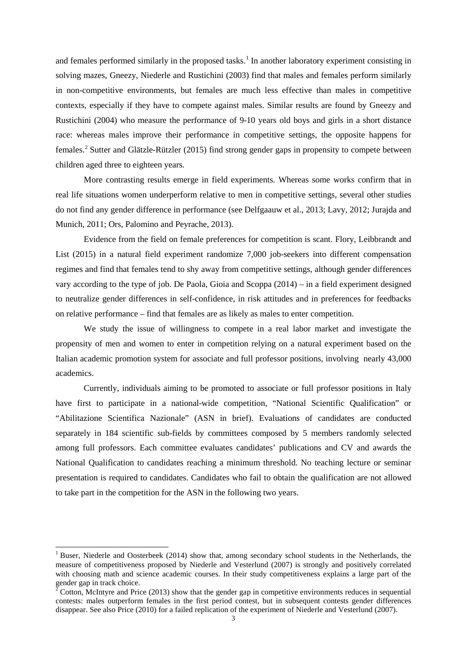and females performed similarly in the proposed tasks.<sup>1</sup> In another laboratory experiment consisting in solving mazes, Gneezy, Niederle and Rustichini (2003) find that males and females perform similarly in non-competitive environments, but females are much less effective than males in competitive contexts, especially if they have to compete against males. Similar results are found by Gneezy and Rustichini (2004) who measure the performance of 9-10 years old boys and girls in a short distance race: whereas males improve their performance in competitive settings, the opposite happens for females.[2](#page-4-0) Sutter and Glätzle-Rützler (2015) find strong gender gaps in propensity to compete between children aged three to eighteen years.

More contrasting results emerge in field experiments. Whereas some works confirm that in real life situations women underperform relative to men in competitive settings, several other studies do not find any gender difference in performance (see Delfgaauw et al., 2013; Lavy, 2012; Jurajda and Munich, 2011; Ors, Palomino and Peyrache, 2013).

Evidence from the field on female preferences for competition is scant. Flory, Leibbrandt and List (2015) in a natural field experiment randomize 7,000 job-seekers into different compensation regimes and find that females tend to shy away from competitive settings, although gender differences vary according to the type of job. De Paola, Gioia and Scoppa (2014) – in a field experiment designed to neutralize gender differences in self-confidence, in risk attitudes and in preferences for feedbacks on relative performance – find that females are as likely as males to enter competition.

We study the issue of willingness to compete in a real labor market and investigate the propensity of men and women to enter in competition relying on a natural experiment based on the Italian academic promotion system for associate and full professor positions, involving nearly 43,000 academics.

Currently, individuals aiming to be promoted to associate or full professor positions in Italy have first to participate in a national-wide competition, "National Scientific Qualification" or "Abilitazione Scientifica Nazionale" (ASN in brief). Evaluations of candidates are conducted separately in 184 scientific sub-fields by committees composed by 5 members randomly selected among full professors. Each committee evaluates candidates' publications and CV and awards the National Qualification to candidates reaching a minimum threshold. No teaching lecture or seminar presentation is required to candidates. Candidates who fail to obtain the qualification are not allowed to take part in the competition for the ASN in the following two years.

<sup>&</sup>lt;sup>1</sup> Buser, Niederle and Oosterbeek (2014) show that, among secondary school students in the Netherlands, the measure of competitiveness proposed by Niederle and Vesterlund (2007) is strongly and positively correlated with choosing math and science academic courses. In their study competitiveness explains a large part of the gender gap in track choice.

<span id="page-4-1"></span><span id="page-4-0"></span><sup>2</sup> Cotton, McIntyre and Price (2013) show that the gender gap in competitive environments reduces in sequential contests: males outperform females in the first period contest, but in subsequent contests gender differences disappear. See also Price (2010) for a failed replication of the experiment of Niederle and Vesterlund (2007).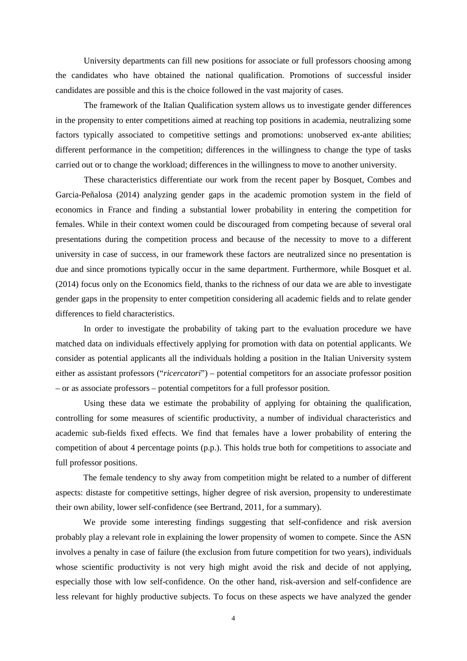University departments can fill new positions for associate or full professors choosing among the candidates who have obtained the national qualification. Promotions of successful insider candidates are possible and this is the choice followed in the vast majority of cases.

The framework of the Italian Qualification system allows us to investigate gender differences in the propensity to enter competitions aimed at reaching top positions in academia, neutralizing some factors typically associated to competitive settings and promotions: unobserved ex-ante abilities; different performance in the competition; differences in the willingness to change the type of tasks carried out or to change the workload; differences in the willingness to move to another university.

These characteristics differentiate our work from the recent paper by Bosquet, Combes and Garcia-Peñalosa (2014) analyzing gender gaps in the academic promotion system in the field of economics in France and finding a substantial lower probability in entering the competition for females. While in their context women could be discouraged from competing because of several oral presentations during the competition process and because of the necessity to move to a different university in case of success, in our framework these factors are neutralized since no presentation is due and since promotions typically occur in the same department. Furthermore, while Bosquet et al. (2014) focus only on the Economics field, thanks to the richness of our data we are able to investigate gender gaps in the propensity to enter competition considering all academic fields and to relate gender differences to field characteristics.

In order to investigate the probability of taking part to the evaluation procedure we have matched data on individuals effectively applying for promotion with data on potential applicants. We consider as potential applicants all the individuals holding a position in the Italian University system either as assistant professors ("*ricercatori*") – potential competitors for an associate professor position – or as associate professors – potential competitors for a full professor position.

Using these data we estimate the probability of applying for obtaining the qualification, controlling for some measures of scientific productivity, a number of individual characteristics and academic sub-fields fixed effects. We find that females have a lower probability of entering the competition of about 4 percentage points (p.p.). This holds true both for competitions to associate and full professor positions.

The female tendency to shy away from competition might be related to a number of different aspects: distaste for competitive settings, higher degree of risk aversion, propensity to underestimate their own ability, lower self-confidence (see Bertrand, 2011, for a summary).

We provide some interesting findings suggesting that self-confidence and risk aversion probably play a relevant role in explaining the lower propensity of women to compete. Since the ASN involves a penalty in case of failure (the exclusion from future competition for two years), individuals whose scientific productivity is not very high might avoid the risk and decide of not applying, especially those with low self-confidence. On the other hand, risk-aversion and self-confidence are less relevant for highly productive subjects. To focus on these aspects we have analyzed the gender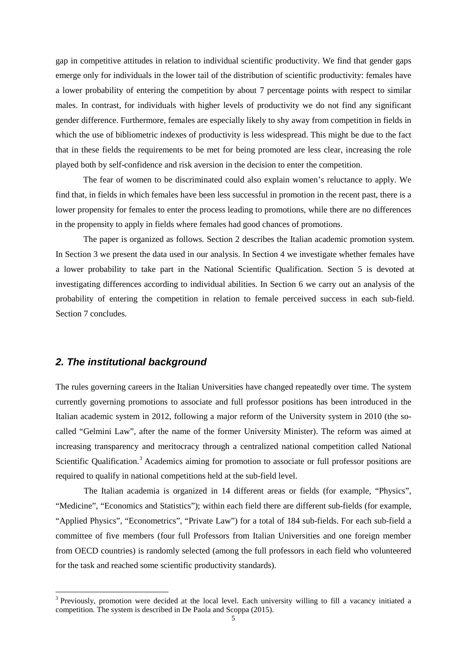gap in competitive attitudes in relation to individual scientific productivity. We find that gender gaps emerge only for individuals in the lower tail of the distribution of scientific productivity: females have a lower probability of entering the competition by about 7 percentage points with respect to similar males. In contrast, for individuals with higher levels of productivity we do not find any significant gender difference. Furthermore, females are especially likely to shy away from competition in fields in which the use of bibliometric indexes of productivity is less widespread. This might be due to the fact that in these fields the requirements to be met for being promoted are less clear, increasing the role played both by self-confidence and risk aversion in the decision to enter the competition.

The fear of women to be discriminated could also explain women's reluctance to apply. We find that, in fields in which females have been less successful in promotion in the recent past, there is a lower propensity for females to enter the process leading to promotions, while there are no differences in the propensity to apply in fields where females had good chances of promotions.

The paper is organized as follows. Section 2 describes the Italian academic promotion system. In Section 3 we present the data used in our analysis. In Section 4 we investigate whether females have a lower probability to take part in the National Scientific Qualification. Section 5 is devoted at investigating differences according to individual abilities. In Section 6 we carry out an analysis of the probability of entering the competition in relation to female perceived success in each sub-field. Section 7 concludes.

#### *2. The institutional background*

The rules governing careers in the Italian Universities have changed repeatedly over time. The system currently governing promotions to associate and full professor positions has been introduced in the Italian academic system in 2012, following a major reform of the University system in 2010 (the socalled "Gelmini Law", after the name of the former University Minister). The reform was aimed at increasing transparency and meritocracy through a centralized national competition called National Scientific Qualification.<sup>[3](#page-4-1)</sup> Academics aiming for promotion to associate or full professor positions are required to qualify in national competitions held at the sub-field level.

The Italian academia is organized in 14 different areas or fields (for example, "Physics", "Medicine", "Economics and Statistics"); within each field there are different sub-fields (for example, "Applied Physics", "Econometrics", "Private Law") for a total of 184 sub-fields. For each sub-field a committee of five members (four full Professors from Italian Universities and one foreign member from OECD countries) is randomly selected (among the full professors in each field who volunteered for the task and reached some scientific productivity standards).

<span id="page-6-0"></span><sup>&</sup>lt;sup>3</sup> Previously, promotion were decided at the local level. Each university willing to fill a vacancy initiated a competition. The system is described in De Paola and Scoppa (2015).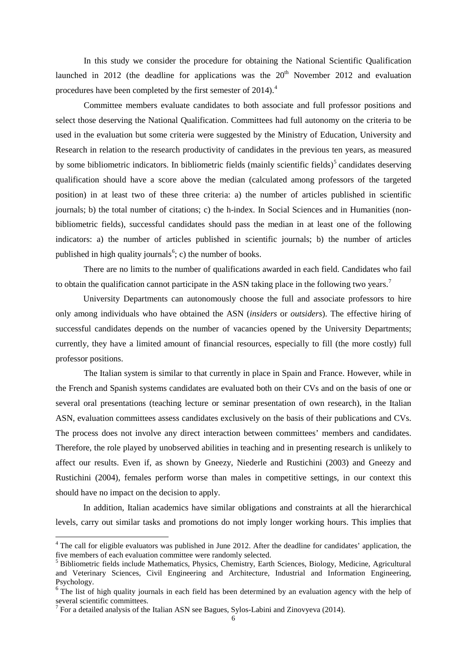In this study we consider the procedure for obtaining the National Scientific Qualification launched in 2012 (the deadline for applications was the  $20<sup>th</sup>$  November 2012 and evaluation procedures have been completed by the first semester of 201[4](#page-6-0)).<sup>4</sup>

Committee members evaluate candidates to both associate and full professor positions and select those deserving the National Qualification. Committees had full autonomy on the criteria to be used in the evaluation but some criteria were suggested by the Ministry of Education, University and Research in relation to the research productivity of candidates in the previous ten years, as measured by some bibliometric indicators. In bibliometric fields (mainly scientific fields) $<sup>5</sup>$  $<sup>5</sup>$  $<sup>5</sup>$  candidates deserving</sup> qualification should have a score above the median (calculated among professors of the targeted position) in at least two of these three criteria: a) the number of articles published in scientific journals; b) the total number of citations; c) the h-index. In Social Sciences and in Humanities (nonbibliometric fields), successful candidates should pass the median in at least one of the following indicators: a) the number of articles published in scientific journals; b) the number of articles published in high quality journals<sup>[6](#page-7-1)</sup>; c) the number of books.

There are no limits to the number of qualifications awarded in each field. Candidates who fail to obtain the qualification cannot participate in the ASN taking place in the following two years.<sup>[7](#page-7-2)</sup>

University Departments can autonomously choose the full and associate professors to hire only among individuals who have obtained the ASN (*insiders* or *outsiders*). The effective hiring of successful candidates depends on the number of vacancies opened by the University Departments; currently, they have a limited amount of financial resources, especially to fill (the more costly) full professor positions.

The Italian system is similar to that currently in place in Spain and France. However, while in the French and Spanish systems candidates are evaluated both on their CVs and on the basis of one or several oral presentations (teaching lecture or seminar presentation of own research), in the Italian ASN, evaluation committees assess candidates exclusively on the basis of their publications and CVs. The process does not involve any direct interaction between committees' members and candidates. Therefore, the role played by unobserved abilities in teaching and in presenting research is unlikely to affect our results. Even if, as shown by Gneezy, Niederle and Rustichini (2003) and Gneezy and Rustichini (2004), females perform worse than males in competitive settings, in our context this should have no impact on the decision to apply.

In addition, Italian academics have similar obligations and constraints at all the hierarchical levels, carry out similar tasks and promotions do not imply longer working hours. This implies that

<sup>&</sup>lt;sup>4</sup> The call for eligible evaluators was published in June 2012. After the deadline for candidates' application, the five members of each evaluation committee were randomly selected.

<span id="page-7-3"></span><span id="page-7-0"></span><sup>5</sup> Bibliometric fields include Mathematics, Physics, Chemistry, Earth Sciences, Biology, Medicine, Agricultural and Veterinary Sciences, Civil Engineering and Architecture, Industrial and Information Engineering, Psychology.

<span id="page-7-1"></span><sup>&</sup>lt;sup>6</sup> The list of high quality journals in each field has been determined by an evaluation agency with the help of several scientific committees.

<span id="page-7-2"></span><sup>&</sup>lt;sup>7</sup> For a detailed analysis of the Italian ASN see Bagues, Sylos-Labini and Zinovyeva (2014).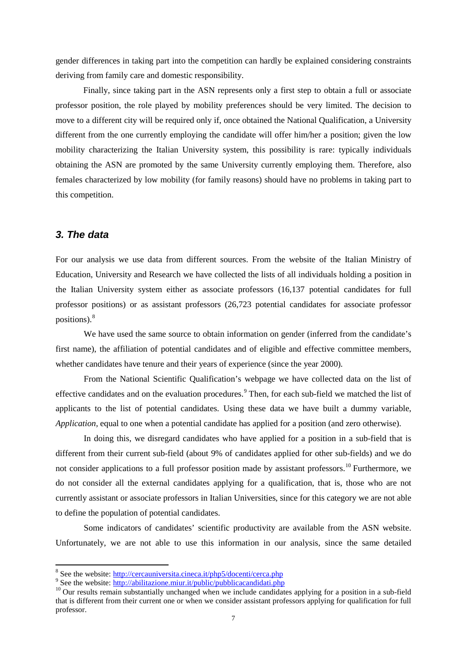gender differences in taking part into the competition can hardly be explained considering constraints deriving from family care and domestic responsibility.

Finally, since taking part in the ASN represents only a first step to obtain a full or associate professor position, the role played by mobility preferences should be very limited. The decision to move to a different city will be required only if, once obtained the National Qualification, a University different from the one currently employing the candidate will offer him/her a position; given the low mobility characterizing the Italian University system, this possibility is rare: typically individuals obtaining the ASN are promoted by the same University currently employing them. Therefore, also females characterized by low mobility (for family reasons) should have no problems in taking part to this competition.

#### *3. The data*

For our analysis we use data from different sources. From the website of the Italian Ministry of Education, University and Research we have collected the lists of all individuals holding a position in the Italian University system either as associate professors (16,137 potential candidates for full professor positions) or as assistant professors (26,723 potential candidates for associate professor positions). [8](#page-7-3)

We have used the same source to obtain information on gender (inferred from the candidate's first name), the affiliation of potential candidates and of eligible and effective committee members, whether candidates have tenure and their years of experience (since the year 2000).

From the National Scientific Qualification's webpage we have collected data on the list of effective candidates and on the evaluation procedures.<sup>[9](#page-8-0)</sup> Then, for each sub-field we matched the list of applicants to the list of potential candidates. Using these data we have built a dummy variable, *Application,* equal to one when a potential candidate has applied for a position (and zero otherwise).

In doing this, we disregard candidates who have applied for a position in a sub-field that is different from their current sub-field (about 9% of candidates applied for other sub-fields) and we do not consider applications to a full professor position made by assistant professors.<sup>[10](#page-8-1)</sup> Furthermore, we do not consider all the external candidates applying for a qualification, that is, those who are not currently assistant or associate professors in Italian Universities, since for this category we are not able to define the population of potential candidates.

Some indicators of candidates' scientific productivity are available from the ASN website. Unfortunately, we are not able to use this information in our analysis, since the same detailed

<span id="page-8-1"></span><span id="page-8-0"></span>

<span id="page-8-2"></span><sup>&</sup>lt;sup>8</sup> See the website: <u>http://cercauniversita.cineca.it/php5/docenti/cerca.php</u><br><sup>9</sup> See the website:<http://abilitazione.miur.it/public/pubblicacandidati.php><br><sup>10</sup> Our results remain substantially unchanged when we include that is different from their current one or when we consider assistant professors applying for qualification for full professor.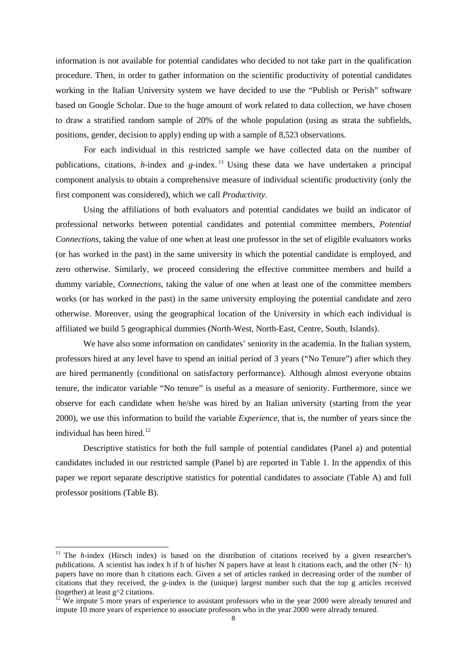information is not available for potential candidates who decided to not take part in the qualification procedure. Then, in order to gather information on the scientific productivity of potential candidates working in the Italian University system we have decided to use the "Publish or Perish" software based on Google Scholar. Due to the huge amount of work related to data collection, we have chosen to draw a stratified random sample of 20% of the whole population (using as strata the subfields, positions, gender, decision to apply) ending up with a sample of 8,523 observations.

For each individual in this restricted sample we have collected data on the number of publications, citations, *h*-index and *g-*index. [11](#page-8-2) Using these data we have undertaken a principal component analysis to obtain a comprehensive measure of individual scientific productivity (only the first component was considered), which we call *Productivity*.

Using the affiliations of both evaluators and potential candidates we build an indicator of professional networks between potential candidates and potential committee members*, Potential Connections*, taking the value of one when at least one professor in the set of eligible evaluators works (or has worked in the past) in the same university in which the potential candidate is employed, and zero otherwise. Similarly, we proceed considering the effective committee members and build a dummy variable, *Connections*, taking the value of one when at least one of the committee members works (or has worked in the past) in the same university employing the potential candidate and zero otherwise. Moreover, using the geographical location of the University in which each individual is affiliated we build 5 geographical dummies (North-West, North-East, Centre, South, Islands).

We have also some information on candidates' seniority in the academia. In the Italian system, professors hired at any level have to spend an initial period of 3 years ("No Tenure") after which they are hired permanently (conditional on satisfactory performance). Although almost everyone obtains tenure, the indicator variable "No tenure" is useful as a measure of seniority. Furthermore, since we observe for each candidate when he/she was hired by an Italian university (starting from the year 2000), we use this information to build the variable *Experience*, that is, the number of years since the individual has been hired.<sup>[12](#page-9-0)</sup>

Descriptive statistics for both the full sample of potential candidates (Panel a) and potential candidates included in our restricted sample (Panel b) are reported in Table 1. In the appendix of this paper we report separate descriptive statistics for potential candidates to associate (Table A) and full professor positions (Table B).

<sup>&</sup>lt;sup>11</sup> The *h*-index (Hirsch index) is based on the distribution of citations received by a given researcher's publications. A scientist has index h if h of his/her N papers have at least h citations each, and the other (N− h) papers have no more than h citations each. Given a set of articles ranked in decreasing order of the number of citations that they received, the *g*-index is the (unique) largest number such that the top g articles received (together) at least  $g^2$  citations.<br><sup>12</sup> We impute 5 more years of experience to assistant professors who in the year 2000 were already tenured and

<span id="page-9-1"></span><span id="page-9-0"></span>impute 10 more years of experience to associate professors who in the year 2000 were already tenured.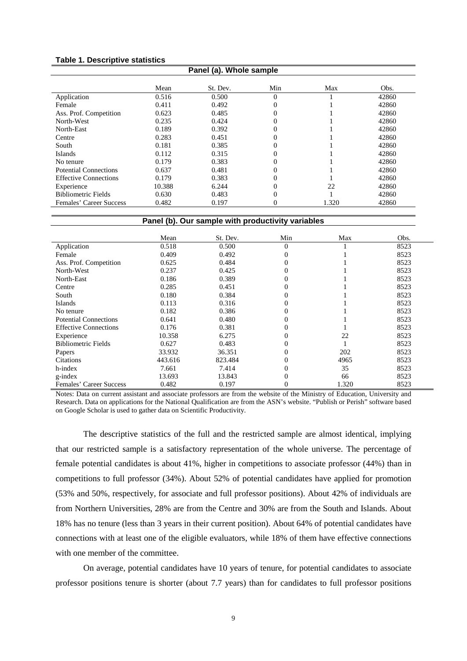#### **Table 1. Descriptive statistics**

| Panel (a). Whole sample      |        |          |     |       |       |  |
|------------------------------|--------|----------|-----|-------|-------|--|
|                              | Mean   | St. Dev. | Min | Max   | Obs.  |  |
| Application                  | 0.516  | 0.500    | 0   |       | 42860 |  |
| Female                       | 0.411  | 0.492    | 0   |       | 42860 |  |
| Ass. Prof. Competition       | 0.623  | 0.485    |     |       | 42860 |  |
| North-West                   | 0.235  | 0.424    |     |       | 42860 |  |
| North-East                   | 0.189  | 0.392    |     |       | 42860 |  |
| Centre                       | 0.283  | 0.451    |     |       | 42860 |  |
| South                        | 0.181  | 0.385    |     |       | 42860 |  |
| Islands                      | 0.112  | 0.315    | 0   |       | 42860 |  |
| No tenure                    | 0.179  | 0.383    | 0   |       | 42860 |  |
| Potential Connections        | 0.637  | 0.481    |     |       | 42860 |  |
| <b>Effective Connections</b> | 0.179  | 0.383    |     |       | 42860 |  |
| Experience                   | 10.388 | 6.244    |     | 22    | 42860 |  |
| <b>Bibliometric Fields</b>   | 0.630  | 0.483    | 0   |       | 42860 |  |
| Females' Career Success      | 0.482  | 0.197    | 0   | 1.320 | 42860 |  |

#### **Panel (b). Our sample with productivity variables**

|                              | Mean    | St. Dev. | Min      | Max   | Obs. |
|------------------------------|---------|----------|----------|-------|------|
| Application                  | 0.518   | 0.500    | $\Omega$ |       | 8523 |
| Female                       | 0.409   | 0.492    | 0        |       | 8523 |
| Ass. Prof. Competition       | 0.625   | 0.484    | 0        |       | 8523 |
| North-West                   | 0.237   | 0.425    | 0        |       | 8523 |
| North-East                   | 0.186   | 0.389    | 0        |       | 8523 |
| Centre                       | 0.285   | 0.451    | 0        |       | 8523 |
| South                        | 0.180   | 0.384    | 0        |       | 8523 |
| Islands                      | 0.113   | 0.316    | 0        |       | 8523 |
| No tenure                    | 0.182   | 0.386    | 0        |       | 8523 |
| <b>Potential Connections</b> | 0.641   | 0.480    | 0        |       | 8523 |
| <b>Effective Connections</b> | 0.176   | 0.381    | 0        |       | 8523 |
| Experience                   | 10.358  | 6.275    | 0        | 22    | 8523 |
| <b>Bibliometric Fields</b>   | 0.627   | 0.483    | 0        |       | 8523 |
| Papers                       | 33.932  | 36.351   | 0        | 202   | 8523 |
| <b>Citations</b>             | 443.616 | 823.484  | 0        | 4965  | 8523 |
| h-index                      | 7.661   | 7.414    | 0        | 35    | 8523 |
| g-index                      | 13.693  | 13.843   | 0        | 66    | 8523 |
| Females' Career Success      | 0.482   | 0.197    | 0        | 1.320 | 8523 |

Notes: Data on current assistant and associate professors are from the website of the Ministry of Education, University and Research. Data on applications for the National Qualification are from the ASN's website. "Publish or Perish" software based on Google Scholar is used to gather data on Scientific Productivity.

The descriptive statistics of the full and the restricted sample are almost identical, implying that our restricted sample is a satisfactory representation of the whole universe. The percentage of female potential candidates is about 41%, higher in competitions to associate professor (44%) than in competitions to full professor (34%). About 52% of potential candidates have applied for promotion (53% and 50%, respectively, for associate and full professor positions). About 42% of individuals are from Northern Universities, 28% are from the Centre and 30% are from the South and Islands. About 18% has no tenure (less than 3 years in their current position). About 64% of potential candidates have connections with at least one of the eligible evaluators, while 18% of them have effective connections with one member of the committee.

On average, potential candidates have 10 years of tenure, for potential candidates to associate professor positions tenure is shorter (about 7.7 years) than for candidates to full professor positions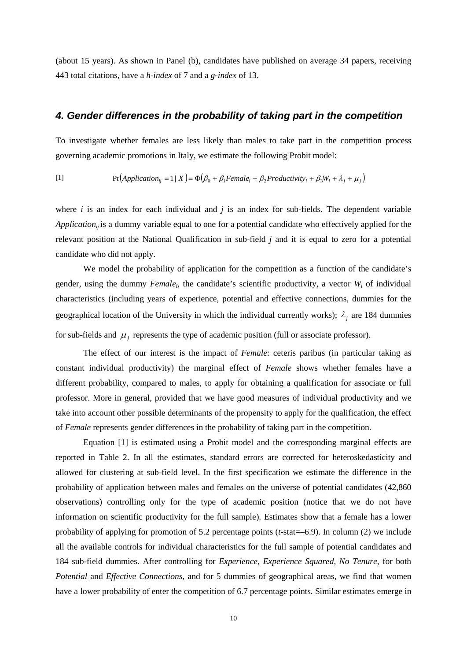(about 15 years). As shown in Panel (b), candidates have published on average 34 papers, receiving 443 total citations, have a *h-index* of 7 and a *g-index* of 13.

#### *4. Gender differences in the probability of taking part in the competition*

To investigate whether females are less likely than males to take part in the competition process governing academic promotions in Italy, we estimate the following Probit model:

[1] 
$$
\Pr(\text{Application}_{ij} = 1 \mid X) = \Phi(\beta_0 + \beta_1 \text{Female}_{i} + \beta_2 \text{Productivity}_{i} + \beta_3 W_i + \lambda_j + \mu_j)
$$

where *i* is an index for each individual and *j* is an index for sub-fields. The dependent variable *Application<sub>ii</sub>* is a dummy variable equal to one for a potential candidate who effectively applied for the relevant position at the National Qualification in sub-field *j* and it is equal to zero for a potential candidate who did not apply.

We model the probability of application for the competition as a function of the candidate's gender, using the dummy *Female<sub>i</sub>*, the candidate's scientific productivity, a vector  $W_i$  of individual characteristics (including years of experience, potential and effective connections, dummies for the geographical location of the University in which the individual currently works);  $\lambda_i$  are 184 dummies for sub-fields and  $\mu_i$  represents the type of academic position (full or associate professor).

The effect of our interest is the impact of *Female*: ceteris paribus (in particular taking as constant individual productivity) the marginal effect of *Female* shows whether females have a different probability, compared to males, to apply for obtaining a qualification for associate or full professor. More in general, provided that we have good measures of individual productivity and we take into account other possible determinants of the propensity to apply for the qualification, the effect of *Female* represents gender differences in the probability of taking part in the competition.

Equation [1] is estimated using a Probit model and the corresponding marginal effects are reported in Table 2. In all the estimates, standard errors are corrected for heteroskedasticity and allowed for clustering at sub-field level. In the first specification we estimate the difference in the probability of application between males and females on the universe of potential candidates (42,860 observations) controlling only for the type of academic position (notice that we do not have information on scientific productivity for the full sample). Estimates show that a female has a lower probability of applying for promotion of 5.2 percentage points (*t*-stat=–6.9). In column (2) we include all the available controls for individual characteristics for the full sample of potential candidates and 184 sub-field dummies. After controlling for *Experience*, *Experience Squared*, *No Tenure*, for both *Potential* and *Effective Connections*, and for 5 dummies of geographical areas, we find that women have a lower probability of enter the competition of 6.7 percentage points. Similar estimates emerge in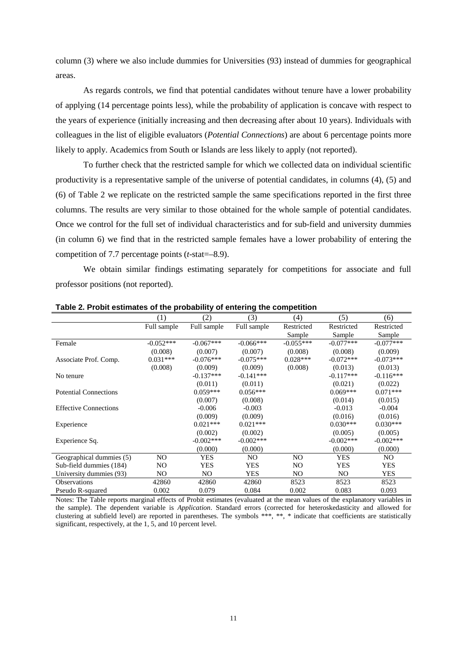column (3) where we also include dummies for Universities (93) instead of dummies for geographical areas.

As regards controls, we find that potential candidates without tenure have a lower probability of applying (14 percentage points less), while the probability of application is concave with respect to the years of experience (initially increasing and then decreasing after about 10 years). Individuals with colleagues in the list of eligible evaluators (*Potential Connections*) are about 6 percentage points more likely to apply. Academics from South or Islands are less likely to apply (not reported).

To further check that the restricted sample for which we collected data on individual scientific productivity is a representative sample of the universe of potential candidates, in columns (4), (5) and (6) of Table 2 we replicate on the restricted sample the same specifications reported in the first three columns. The results are very similar to those obtained for the whole sample of potential candidates. Once we control for the full set of individual characteristics and for sub-field and university dummies (in column 6) we find that in the restricted sample females have a lower probability of entering the competition of 7.7 percentage points (*t*-stat=–8.9).

We obtain similar findings estimating separately for competitions for associate and full professor positions (not reported).

|                              | (1)         | (2)         | (3)          | (4)         | (5)            | (6)          |
|------------------------------|-------------|-------------|--------------|-------------|----------------|--------------|
|                              | Full sample | Full sample | Full sample  | Restricted  | Restricted     | Restricted   |
|                              |             |             |              | Sample      | Sample         | Sample       |
| Female                       | $-0.052***$ | $-0.067***$ | $-0.066***$  | $-0.055***$ | $-0.077***$    | $-0.077***$  |
|                              | (0.008)     | (0.007)     | (0.007)      | (0.008)     | (0.008)        | (0.009)      |
| Associate Prof. Comp.        | $0.031***$  | $-0.076***$ | $-0.075***$  | $0.028***$  | $-0.072***$    | $-0.073***$  |
|                              | (0.008)     | (0.009)     | (0.009)      | (0.008)     | (0.013)        | (0.013)      |
| No tenure                    |             | $-0.137***$ | $-0.141***$  |             | $-0.117***$    | $-0.116***$  |
|                              |             | (0.011)     | (0.011)      |             | (0.021)        | (0.022)      |
| <b>Potential Connections</b> |             | $0.059***$  | $0.056***$   |             | $0.069***$     | $0.071***$   |
|                              |             | (0.007)     | (0.008)      |             | (0.014)        | (0.015)      |
| <b>Effective Connections</b> |             | $-0.006$    | $-0.003$     |             | $-0.013$       | $-0.004$     |
|                              |             | (0.009)     | (0.009)      |             | (0.016)        | (0.016)      |
| Experience                   |             | $0.021***$  | $0.021***$   |             | $0.030***$     | $0.030***$   |
|                              |             | (0.002)     | (0.002)      |             | (0.005)        | (0.005)      |
| Experience Sq.               |             | $-0.002***$ | $-0.002$ *** |             | $-0.002***$    | $-0.002$ *** |
|                              |             | (0.000)     | (0.000)      |             | (0.000)        | (0.000)      |
| Geographical dummies (5)     | NO          | <b>YES</b>  | NO.          | NO.         | <b>YES</b>     | NO.          |
| Sub-field dummies (184)      | NO          | <b>YES</b>  | <b>YES</b>   | NO.         | <b>YES</b>     | <b>YES</b>   |
| University dummies (93)      | NO.         | NO.         | <b>YES</b>   | NO.         | N <sub>O</sub> | <b>YES</b>   |
| Observations                 | 42860       | 42860       | 42860        | 8523        | 8523           | 8523         |
| Pseudo R-squared             | 0.002       | 0.079       | 0.084        | 0.002       | 0.083          | 0.093        |

**Table 2. Probit estimates of the probability of entering the competition**

Notes: The Table reports marginal effects of Probit estimates (evaluated at the mean values of the explanatory variables in the sample). The dependent variable is *Application*. Standard errors (corrected for heteroskedasticity and allowed for clustering at subfield level) are reported in parentheses. The symbols \*\*\*, \*\*, \* indicate that coefficients are statistically significant, respectively, at the 1, 5, and 10 percent level.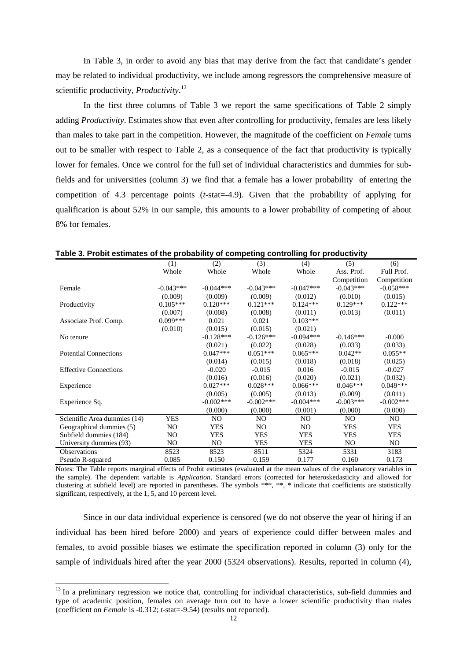In Table 3, in order to avoid any bias that may derive from the fact that candidate's gender may be related to individual productivity, we include among regressors the comprehensive measure of scientific productivity, *Productivity*. [13](#page-9-1)

In the first three columns of Table 3 we report the same specifications of Table 2 simply adding *Productivity*. Estimates show that even after controlling for productivity, females are less likely than males to take part in the competition. However, the magnitude of the coefficient on *Female* turns out to be smaller with respect to Table 2, as a consequence of the fact that productivity is typically lower for females. Once we control for the full set of individual characteristics and dummies for subfields and for universities (column 3) we find that a female has a lower probability of entering the competition of 4.3 percentage points (*t*-stat=-4.9). Given that the probability of applying for qualification is about 52% in our sample, this amounts to a lower probability of competing of about 8% for females.

|                              | (1)         | (2)            | (3)            | (4)            | (5)            | (6)         |
|------------------------------|-------------|----------------|----------------|----------------|----------------|-------------|
|                              | Whole       | Whole          | Whole          | Whole          | Ass. Prof.     | Full Prof.  |
|                              |             |                |                |                | Competition    | Competition |
| Female                       | $-0.043***$ | $-0.044***$    | $-0.043***$    | $-0.047***$    | $-0.043***$    | $-0.058***$ |
|                              | (0.009)     | (0.009)        | (0.009)        | (0.012)        | (0.010)        | (0.015)     |
| Productivity                 | $0.105***$  | $0.120***$     | $0.121***$     | $0.124***$     | $0.129***$     | $0.122***$  |
|                              | (0.007)     | (0.008)        | (0.008)        | (0.011)        | (0.013)        | (0.011)     |
| Associate Prof. Comp.        | $0.099***$  | 0.021          | 0.021          | $0.103***$     |                |             |
|                              | (0.010)     | (0.015)        | (0.015)        | (0.021)        |                |             |
| No tenure                    |             | $-0.128***$    | $-0.126***$    | $-0.094***$    | $-0.146***$    | $-0.000$    |
|                              |             | (0.021)        | (0.022)        | (0.028)        | (0.033)        | (0.033)     |
| <b>Potential Connections</b> |             | $0.047***$     | $0.051***$     | $0.065***$     | $0.042**$      | $0.055**$   |
|                              |             | (0.014)        | (0.015)        | (0.018)        | (0.018)        | (0.025)     |
| <b>Effective Connections</b> |             | $-0.020$       | $-0.015$       | 0.016          | $-0.015$       | $-0.027$    |
|                              |             | (0.016)        | (0.016)        | (0.020)        | (0.021)        | (0.032)     |
| Experience                   |             | $0.027***$     | $0.028***$     | $0.066***$     | $0.046***$     | $0.049***$  |
|                              |             | (0.005)        | (0.005)        | (0.013)        | (0.009)        | (0.011)     |
| Experience Sq.               |             | $-0.002***$    | $-0.002***$    | $-0.004$ ***   | $-0.003***$    | $-0.002***$ |
|                              |             | (0.000)        | (0.000)        | (0.001)        | (0.000)        | (0.000)     |
| Scientific Area dummies (14) | YES         | NO.            | NO.            | N <sub>O</sub> | N <sub>O</sub> | NO.         |
| Geographical dummies (5)     | NO.         | <b>YES</b>     | N <sub>O</sub> | NO.            | <b>YES</b>     | <b>YES</b>  |
| Subfield dummies (184)       | NO.         | <b>YES</b>     | YES            | <b>YES</b>     | <b>YES</b>     | <b>YES</b>  |
| University dummies (93)      | NO.         | N <sub>O</sub> | YES            | <b>YES</b>     | NO.            | NO.         |
| <b>Observations</b>          | 8523        | 8523           | 8511           | 5324           | 5331           | 3183        |
| Pseudo R-squared             | 0.085       | 0.150          | 0.159          | 0.177          | 0.160          | 0.173       |

**Table 3. Probit estimates of the probability of competing controlling for productivity**

Notes: The Table reports marginal effects of Probit estimates (evaluated at the mean values of the explanatory variables in the sample). The dependent variable is *Application*. Standard errors (corrected for heteroskedasticity and allowed for clustering at subfield level) are reported in parentheses. The symbols \*\*\*, \*\*, \* indicate that coefficients are statistically significant, respectively, at the 1, 5, and 10 percent level.

<span id="page-13-0"></span>Since in our data individual experience is censored (we do not observe the year of hiring if an individual has been hired before 2000) and years of experience could differ between males and females, to avoid possible biases we estimate the specification reported in column (3) only for the sample of individuals hired after the year 2000 (5324 observations). Results, reported in column (4),

<sup>&</sup>lt;sup>13</sup> In a preliminary regression we notice that, controlling for individual characteristics, sub-field dummies and type of academic position, females on average turn out to have a lower scientific productivity than males (coefficient on *Female* is -0.312; *t*-stat=-9.54) (results not reported).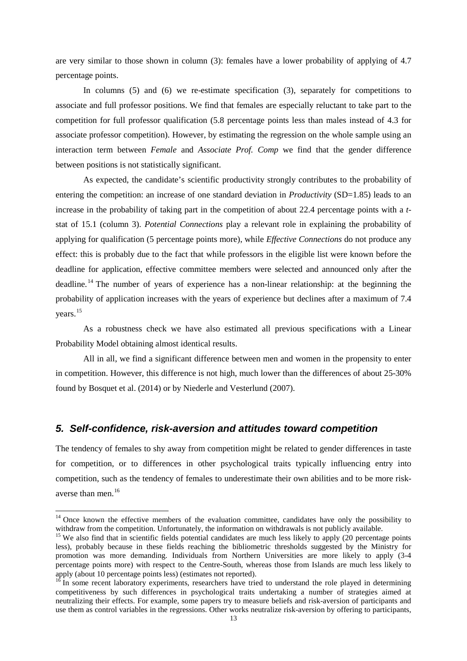are very similar to those shown in column (3): females have a lower probability of applying of 4.7 percentage points.

In columns (5) and (6) we re-estimate specification (3), separately for competitions to associate and full professor positions. We find that females are especially reluctant to take part to the competition for full professor qualification (5.8 percentage points less than males instead of 4.3 for associate professor competition). However, by estimating the regression on the whole sample using an interaction term between *Female* and *Associate Prof. Comp* we find that the gender difference between positions is not statistically significant.

As expected, the candidate's scientific productivity strongly contributes to the probability of entering the competition: an increase of one standard deviation in *Productivity* (SD=1.85) leads to an increase in the probability of taking part in the competition of about 22.4 percentage points with a *t*stat of 15.1 (column 3). *Potential Connections* play a relevant role in explaining the probability of applying for qualification (5 percentage points more), while *Effective Connections* do not produce any effect: this is probably due to the fact that while professors in the eligible list were known before the deadline for application, effective committee members were selected and announced only after the deadline. [14](#page-13-0) The number of years of experience has a non-linear relationship: at the beginning the probability of application increases with the years of experience but declines after a maximum of 7.4 years.[15](#page-14-0)

As a robustness check we have also estimated all previous specifications with a Linear Probability Model obtaining almost identical results.

All in all, we find a significant difference between men and women in the propensity to enter in competition. However, this difference is not high, much lower than the differences of about 25-30% found by Bosquet et al. (2014) or by Niederle and Vesterlund (2007).

#### *5. Self-confidence, risk-aversion and attitudes toward competition*

The tendency of females to shy away from competition might be related to gender differences in taste for competition, or to differences in other psychological traits typically influencing entry into competition, such as the tendency of females to underestimate their own abilities and to be more riskaverse than men. [16](#page-14-1)

<sup>&</sup>lt;sup>14</sup> Once known the effective members of the evaluation committee, candidates have only the possibility to withdraw from the competition. Unfortunately, the information on withdrawals is not publicly available.

<span id="page-14-0"></span><sup>&</sup>lt;sup>15</sup> We also find that in scientific fields potential candidates are much less likely to apply  $(20)$  percentage points less), probably because in these fields reaching the bibliometric thresholds suggested by the Ministry for promotion was more demanding. Individuals from Northern Universities are more likely to apply (3-4 percentage points more) with respect to the Centre-South, whereas those from Islands are much less likely to apply (about 10 percentage points less) (estimates not reported).

<span id="page-14-2"></span><span id="page-14-1"></span> $16$  In some recent laboratory experiments, researchers have tried to understand the role played in determining competitiveness by such differences in psychological traits undertaking a number of strategies aimed at neutralizing their effects. For example, some papers try to measure beliefs and risk-aversion of participants and use them as control variables in the regressions. Other works neutralize risk-aversion by offering to participants,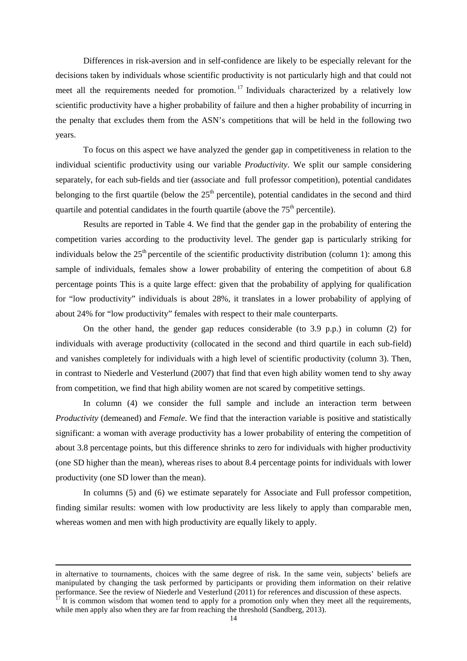Differences in risk-aversion and in self-confidence are likely to be especially relevant for the decisions taken by individuals whose scientific productivity is not particularly high and that could not meet all the requirements needed for promotion.<sup>[17](#page-14-2)</sup> Individuals characterized by a relatively low scientific productivity have a higher probability of failure and then a higher probability of incurring in the penalty that excludes them from the ASN's competitions that will be held in the following two years.

To focus on this aspect we have analyzed the gender gap in competitiveness in relation to the individual scientific productivity using our variable *Productivity*. We split our sample considering separately, for each sub-fields and tier (associate and full professor competition), potential candidates belonging to the first quartile (below the  $25<sup>th</sup>$  percentile), potential candidates in the second and third quartile and potential candidates in the fourth quartile (above the  $75<sup>th</sup>$  percentile).

Results are reported in Table 4. We find that the gender gap in the probability of entering the competition varies according to the productivity level. The gender gap is particularly striking for individuals below the  $25<sup>th</sup>$  percentile of the scientific productivity distribution (column 1): among this sample of individuals, females show a lower probability of entering the competition of about 6.8 percentage points This is a quite large effect: given that the probability of applying for qualification for "low productivity" individuals is about 28%, it translates in a lower probability of applying of about 24% for "low productivity" females with respect to their male counterparts.

On the other hand, the gender gap reduces considerable (to 3.9 p.p.) in column (2) for individuals with average productivity (collocated in the second and third quartile in each sub-field) and vanishes completely for individuals with a high level of scientific productivity (column 3). Then, in contrast to Niederle and Vesterlund (2007) that find that even high ability women tend to shy away from competition, we find that high ability women are not scared by competitive settings.

In column (4) we consider the full sample and include an interaction term between *Productivity* (demeaned) and *Female*. We find that the interaction variable is positive and statistically significant: a woman with average productivity has a lower probability of entering the competition of about 3.8 percentage points, but this difference shrinks to zero for individuals with higher productivity (one SD higher than the mean), whereas rises to about 8.4 percentage points for individuals with lower productivity (one SD lower than the mean).

In columns (5) and (6) we estimate separately for Associate and Full professor competition, finding similar results: women with low productivity are less likely to apply than comparable men, whereas women and men with high productivity are equally likely to apply.

<span id="page-15-0"></span> $\overline{a}$ 

in alternative to tournaments, choices with the same degree of risk. In the same vein, subjects' beliefs are manipulated by changing the task performed by participants or providing them information on their relative performance. See the review of Niederle and Vesterlund (2011) for references and discussion of these aspects.<br><sup>17</sup> It is common wisdom that women tend to apply for a promotion only when they meet all the requirements,

while men apply also when they are far from reaching the threshold (Sandberg, 2013).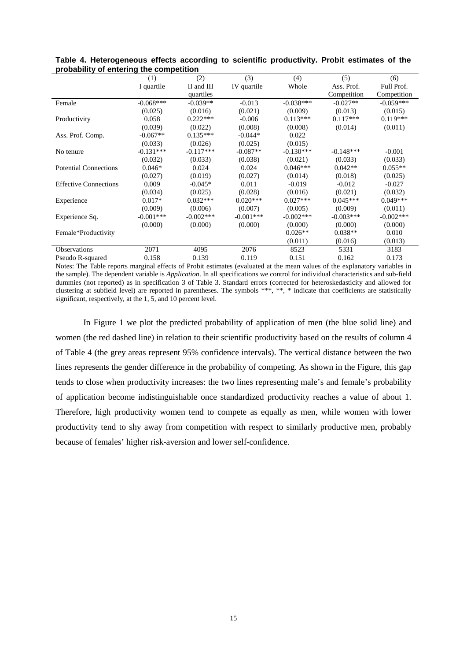|                              | (1)         | (2)          | (3)         | (4)         | (5)         | (6)         |
|------------------------------|-------------|--------------|-------------|-------------|-------------|-------------|
|                              | I quartile  | II and III   | IV quartile | Whole       | Ass. Prof.  | Full Prof.  |
|                              |             | quartiles    |             |             | Competition | Competition |
| Female                       | $-0.068***$ | $-0.039**$   | $-0.013$    | $-0.038***$ | $-0.027**$  | $-0.059***$ |
|                              | (0.025)     | (0.016)      | (0.021)     | (0.009)     | (0.013)     | (0.015)     |
| Productivity                 | 0.058       | $0.222***$   | $-0.006$    | $0.113***$  | $0.117***$  | $0.119***$  |
|                              | (0.039)     | (0.022)      | (0.008)     | (0.008)     | (0.014)     | (0.011)     |
| Ass. Prof. Comp.             | $-0.067**$  | $0.135***$   | $-0.044*$   | 0.022       |             |             |
|                              | (0.033)     | (0.026)      | (0.025)     | (0.015)     |             |             |
| No tenure                    | $-0.131***$ | $-0.117***$  | $-0.087**$  | $-0.130***$ | $-0.148***$ | $-0.001$    |
|                              | (0.032)     | (0.033)      | (0.038)     | (0.021)     | (0.033)     | (0.033)     |
| <b>Potential Connections</b> | $0.046*$    | 0.024        | 0.024       | $0.046***$  | $0.042**$   | $0.055**$   |
|                              | (0.027)     | (0.019)      | (0.027)     | (0.014)     | (0.018)     | (0.025)     |
| <b>Effective Connections</b> | 0.009       | $-0.045*$    | 0.011       | $-0.019$    | $-0.012$    | $-0.027$    |
|                              | (0.034)     | (0.025)      | (0.028)     | (0.016)     | (0.021)     | (0.032)     |
| Experience                   | $0.017*$    | $0.032***$   | $0.020***$  | $0.027***$  | $0.045***$  | $0.049***$  |
|                              | (0.009)     | (0.006)      | (0.007)     | (0.005)     | (0.009)     | (0.011)     |
| Experience Sq.               | $-0.001***$ | $-0.002$ *** | $-0.001***$ | $-0.002***$ | $-0.003***$ | $-0.002***$ |
|                              | (0.000)     | (0.000)      | (0.000)     | (0.000)     | (0.000)     | (0.000)     |
| Female*Productivity          |             |              |             | $0.026**$   | $0.038**$   | 0.010       |
|                              |             |              |             | (0.011)     | (0.016)     | (0.013)     |
| <b>Observations</b>          | 2071        | 4095         | 2076        | 8523        | 5331        | 3183        |
| Pseudo R-squared             | 0.158       | 0.139        | 0.119       | 0.151       | 0.162       | 0.173       |

**Table 4. Heterogeneous effects according to scientific productivity. Probit estimates of the probability of entering the competition**

Notes: The Table reports marginal effects of Probit estimates (evaluated at the mean values of the explanatory variables in the sample). The dependent variable is *Application*. In all specifications we control for individual characteristics and sub-field dummies (not reported) as in specification 3 of Table 3. Standard errors (corrected for heteroskedasticity and allowed for clustering at subfield level) are reported in parentheses. The symbols \*\*\*, \*\*, \* indicate that coefficients are statistically significant, respectively, at the 1, 5, and 10 percent level.

In Figure 1 we plot the predicted probability of application of men (the blue solid line) and women (the red dashed line) in relation to their scientific productivity based on the results of column 4 of Table 4 (the grey areas represent 95% confidence intervals). The vertical distance between the two lines represents the gender difference in the probability of competing. As shown in the Figure, this gap tends to close when productivity increases: the two lines representing male's and female's probability of application become indistinguishable once standardized productivity reaches a value of about 1. Therefore, high productivity women tend to compete as equally as men, while women with lower productivity tend to shy away from competition with respect to similarly productive men, probably because of females' higher risk-aversion and lower self-confidence.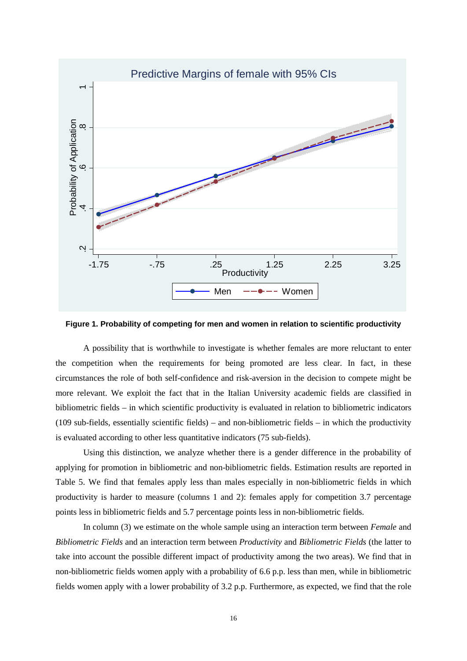

**Figure 1. Probability of competing for men and women in relation to scientific productivity**

A possibility that is worthwhile to investigate is whether females are more reluctant to enter the competition when the requirements for being promoted are less clear. In fact, in these circumstances the role of both self-confidence and risk-aversion in the decision to compete might be more relevant. We exploit the fact that in the Italian University academic fields are classified in bibliometric fields – in which scientific productivity is evaluated in relation to bibliometric indicators (109 sub-fields, essentially scientific fields) – and non-bibliometric fields – in which the productivity is evaluated according to other less quantitative indicators (75 sub-fields).

Using this distinction, we analyze whether there is a gender difference in the probability of applying for promotion in bibliometric and non-bibliometric fields. Estimation results are reported in Table 5. We find that females apply less than males especially in non-bibliometric fields in which productivity is harder to measure (columns 1 and 2): females apply for competition 3.7 percentage points less in bibliometric fields and 5.7 percentage points less in non-bibliometric fields.

In column (3) we estimate on the whole sample using an interaction term between *Female* and *Bibliometric Fields* and an interaction term between *Productivity* and *Bibliometric Fields* (the latter to take into account the possible different impact of productivity among the two areas). We find that in non-bibliometric fields women apply with a probability of 6.6 p.p. less than men, while in bibliometric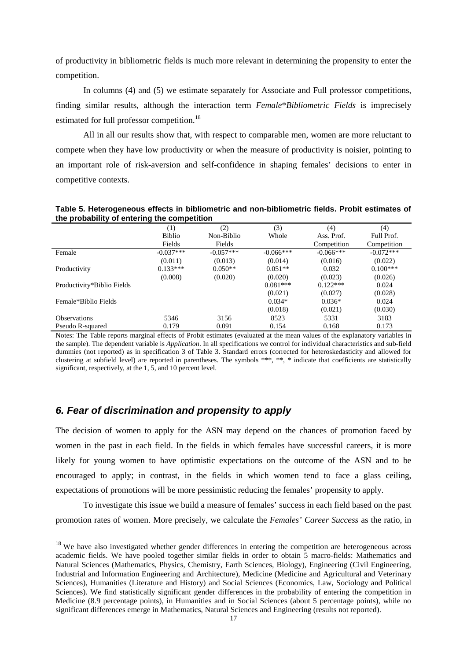of productivity in bibliometric fields is much more relevant in determining the propensity to enter the competition.

In columns (4) and (5) we estimate separately for Associate and Full professor competitions, finding similar results, although the interaction term *Female*\**Bibliometric Fields* is imprecisely estimated for full professor competition.<sup>[18](#page-15-0)</sup>

All in all our results show that, with respect to comparable men, women are more reluctant to compete when they have low productivity or when the measure of productivity is noisier, pointing to an important role of risk-aversion and self-confidence in shaping females' decisions to enter in competitive contexts.

| and probability or childring and compounding |               |             |             |             |             |  |  |
|----------------------------------------------|---------------|-------------|-------------|-------------|-------------|--|--|
|                                              | (1)           | (2)         | (3)         | (4)         | (4)         |  |  |
|                                              | <b>Biblio</b> | Non-Biblio  | Whole       | Ass. Prof.  | Full Prof.  |  |  |
|                                              | Fields        | Fields      |             | Competition | Competition |  |  |
| Female                                       | $-0.037***$   | $-0.057***$ | $-0.066***$ | $-0.066***$ | $-0.072***$ |  |  |
|                                              | (0.011)       | (0.013)     | (0.014)     | (0.016)     | (0.022)     |  |  |
| Productivity                                 | $0.133***$    | $0.050**$   | $0.051**$   | 0.032       | $0.100***$  |  |  |
|                                              | (0.008)       | (0.020)     | (0.020)     | (0.023)     | (0.026)     |  |  |
| Productivity*Biblio Fields                   |               |             | $0.081***$  | $0.122***$  | 0.024       |  |  |
|                                              |               |             | (0.021)     | (0.027)     | (0.028)     |  |  |
| Female*Biblio Fields                         |               |             | $0.034*$    | $0.036*$    | 0.024       |  |  |
|                                              |               |             | (0.018)     | (0.021)     | (0.030)     |  |  |
| <b>Observations</b>                          | 5346          | 3156        | 8523        | 5331        | 3183        |  |  |
| Pseudo R-squared                             | 0.179         | 0.091       | 0.154       | 0.168       | 0.173       |  |  |

**Table 5. Heterogeneous effects in bibliometric and non-bibliometric fields. Probit estimates of the probability of entering the competition**

Notes: The Table reports marginal effects of Probit estimates (evaluated at the mean values of the explanatory variables in the sample). The dependent variable is *Application*. In all specifications we control for individual characteristics and sub-field dummies (not reported) as in specification 3 of Table 3. Standard errors (corrected for heteroskedasticity and allowed for clustering at subfield level) are reported in parentheses. The symbols \*\*\*, \*\*, \* indicate that coefficients are statistically significant, respectively, at the 1, 5, and 10 percent level.

#### *6. Fear of discrimination and propensity to apply*

 $\overline{a}$ 

The decision of women to apply for the ASN may depend on the chances of promotion faced by women in the past in each field. In the fields in which females have successful careers, it is more likely for young women to have optimistic expectations on the outcome of the ASN and to be encouraged to apply; in contrast, in the fields in which women tend to face a glass ceiling, expectations of promotions will be more pessimistic reducing the females' propensity to apply.

To investigate this issue we build a measure of females' success in each field based on the past promotion rates of women. More precisely, we calculate the *Females' Career Success* as the ratio, in

<span id="page-18-0"></span><sup>&</sup>lt;sup>18</sup> We have also investigated whether gender differences in entering the competition are heterogeneous across academic fields. We have pooled together similar fields in order to obtain 5 macro-fields: Mathematics and Natural Sciences (Mathematics, Physics, Chemistry, Earth Sciences, Biology), Engineering (Civil Engineering, Industrial and Information Engineering and Architecture), Medicine (Medicine and Agricultural and Veterinary Sciences), Humanities (Literature and History) and Social Sciences (Economics, Law, Sociology and Political Sciences). We find statistically significant gender differences in the probability of entering the competition in Medicine (8.9 percentage points), in Humanities and in Social Sciences (about 5 percentage points), while no significant differences emerge in Mathematics, Natural Sciences and Engineering (results not reported).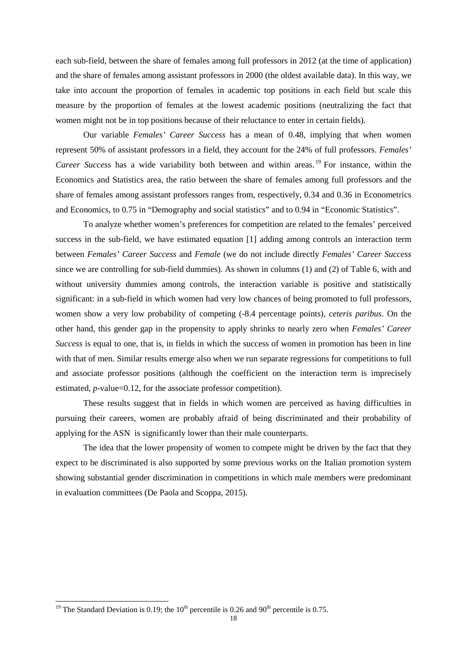each sub-field, between the share of females among full professors in 2012 (at the time of application) and the share of females among assistant professors in 2000 (the oldest available data). In this way, we take into account the proportion of females in academic top positions in each field but scale this measure by the proportion of females at the lowest academic positions (neutralizing the fact that women might not be in top positions because of their reluctance to enter in certain fields).

Our variable *Females' Career Success* has a mean of 0.48, implying that when women represent 50% of assistant professors in a field, they account for the 24% of full professors. *Females' Career Success* has a wide variability both between and within areas.<sup>[19](#page-18-0)</sup> For instance, within the Economics and Statistics area, the ratio between the share of females among full professors and the share of females among assistant professors ranges from, respectively, 0.34 and 0.36 in Econometrics and Economics, to 0.75 in "Demography and social statistics" and to 0.94 in "Economic Statistics".

To analyze whether women's preferences for competition are related to the females' perceived success in the sub-field, we have estimated equation [1] adding among controls an interaction term between *Females' Career Success* and *Female* (we do not include directly *Females' Career Success* since we are controlling for sub-field dummies). As shown in columns (1) and (2) of Table 6, with and without university dummies among controls, the interaction variable is positive and statistically significant: in a sub-field in which women had very low chances of being promoted to full professors, women show a very low probability of competing (-8.4 percentage points), *ceteris paribus*. On the other hand, this gender gap in the propensity to apply shrinks to nearly zero when *Females' Career Success* is equal to one, that is, in fields in which the success of women in promotion has been in line with that of men. Similar results emerge also when we run separate regressions for competitions to full and associate professor positions (although the coefficient on the interaction term is imprecisely estimated, *p*-value=0.12, for the associate professor competition).

These results suggest that in fields in which women are perceived as having difficulties in pursuing their careers, women are probably afraid of being discriminated and their probability of applying for the ASN is significantly lower than their male counterparts.

The idea that the lower propensity of women to compete might be driven by the fact that they expect to be discriminated is also supported by some previous works on the Italian promotion system showing substantial gender discrimination in competitions in which male members were predominant in evaluation committees (De Paola and Scoppa, 2015).

<span id="page-19-0"></span><sup>&</sup>lt;sup>19</sup> The Standard Deviation is 0.19; the 10<sup>th</sup> percentile is 0.26 and 90<sup>th</sup> percentile is 0.75.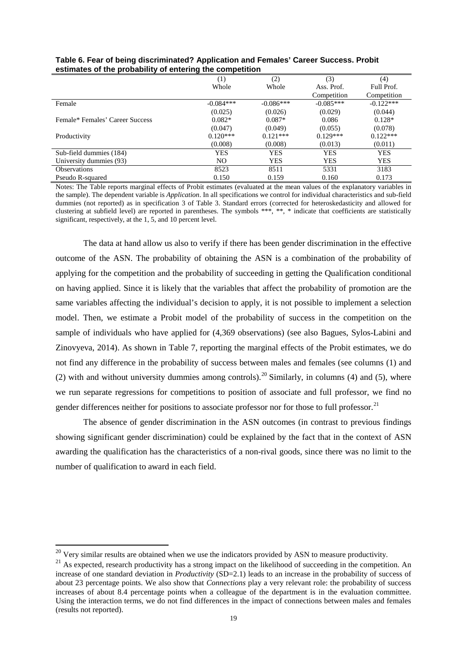|                                 | (1)            | (2)         | (3)         | (4)         |
|---------------------------------|----------------|-------------|-------------|-------------|
|                                 | Whole          | Whole       | Ass. Prof.  | Full Prof.  |
|                                 |                |             | Competition | Competition |
| Female                          | $-0.084***$    | $-0.086***$ | $-0.085***$ | $-0.122***$ |
|                                 | (0.025)        | (0.026)     | (0.029)     | (0.044)     |
| Female* Females' Career Success | $0.082*$       | $0.087*$    | 0.086       | $0.128*$    |
|                                 | (0.047)        | (0.049)     | (0.055)     | (0.078)     |
| Productivity                    | $0.120***$     | $0.121***$  | $0.129***$  | $0.122***$  |
|                                 | (0.008)        | (0.008)     | (0.013)     | (0.011)     |
| Sub-field dummies (184)         | <b>YES</b>     | <b>YES</b>  | <b>YES</b>  | <b>YES</b>  |
| University dummies (93)         | N <sub>O</sub> | <b>YES</b>  | YES         | <b>YES</b>  |
| <b>Observations</b>             | 8523           | 8511        | 5331        | 3183        |
| Pseudo R-squared                | 0.150          | 0.159       | 0.160       | 0.173       |

| Table 6. Fear of being discriminated? Application and Females' Career Success. Probit |  |
|---------------------------------------------------------------------------------------|--|
| estimates of the probability of entering the competition                              |  |

Notes: The Table reports marginal effects of Probit estimates (evaluated at the mean values of the explanatory variables in the sample). The dependent variable is *Application*. In all specifications we control for individual characteristics and sub-field dummies (not reported) as in specification 3 of Table 3. Standard errors (corrected for heteroskedasticity and allowed for clustering at subfield level) are reported in parentheses. The symbols \*\*\*, \*\*, \* indicate that coefficients are statistically significant, respectively, at the 1, 5, and 10 percent level.

The data at hand allow us also to verify if there has been gender discrimination in the effective outcome of the ASN. The probability of obtaining the ASN is a combination of the probability of applying for the competition and the probability of succeeding in getting the Qualification conditional on having applied. Since it is likely that the variables that affect the probability of promotion are the same variables affecting the individual's decision to apply, it is not possible to implement a selection model. Then, we estimate a Probit model of the probability of success in the competition on the sample of individuals who have applied for (4,369 observations) (see also Bagues, Sylos-Labini and Zinovyeva, 2014). As shown in Table 7, reporting the marginal effects of the Probit estimates, we do not find any difference in the probability of success between males and females (see columns (1) and (2) with and without university dummies among controls).<sup>[20](#page-19-0)</sup> Similarly, in columns (4) and (5), where we run separate regressions for competitions to position of associate and full professor, we find no gender differences neither for positions to associate professor nor for those to full professor.<sup>[21](#page-20-0)</sup>

The absence of gender discrimination in the ASN outcomes (in contrast to previous findings showing significant gender discrimination) could be explained by the fact that in the context of ASN awarding the qualification has the characteristics of a non-rival goods, since there was no limit to the number of qualification to award in each field.

**.** 

 $20$  Very similar results are obtained when we use the indicators provided by ASN to measure productivity.

<span id="page-20-0"></span><sup>&</sup>lt;sup>21</sup> As expected, research productivity has a strong impact on the likelihood of succeeding in the competition. An increase of one standard deviation in *Productivity* (SD=2.1) leads to an increase in the probability of success of about 23 percentage points. We also show that *Connections* play a very relevant role: the probability of success increases of about 8.4 percentage points when a colleague of the department is in the evaluation committee. Using the interaction terms, we do not find differences in the impact of connections between males and females (results not reported).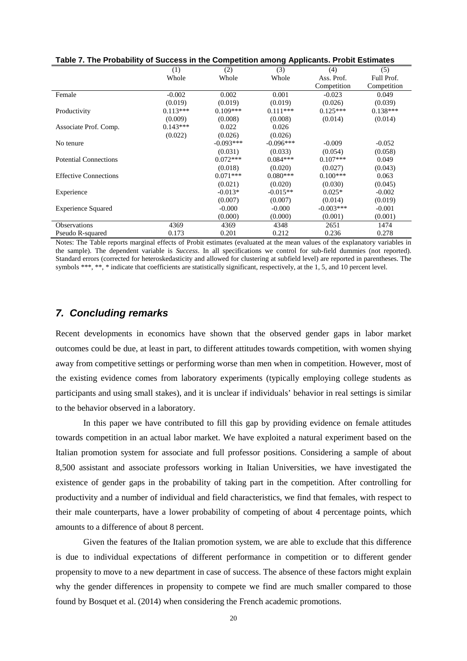|                              | (1)        | (2)         | (3)         | (4)         | (5)         |
|------------------------------|------------|-------------|-------------|-------------|-------------|
|                              | Whole      | Whole       | Whole       | Ass. Prof.  | Full Prof.  |
|                              |            |             |             | Competition | Competition |
| Female                       | $-0.002$   | 0.002       | 0.001       | $-0.023$    | 0.049       |
|                              | (0.019)    | (0.019)     | (0.019)     | (0.026)     | (0.039)     |
| Productivity                 | $0.113***$ | $0.109***$  | $0.111***$  | $0.125***$  | $0.138***$  |
|                              | (0.009)    | (0.008)     | (0.008)     | (0.014)     | (0.014)     |
| Associate Prof. Comp.        | $0.143***$ | 0.022       | 0.026       |             |             |
|                              | (0.022)    | (0.026)     | (0.026)     |             |             |
| No tenure                    |            | $-0.093***$ | $-0.096***$ | $-0.009$    | $-0.052$    |
|                              |            | (0.031)     | (0.033)     | (0.054)     | (0.058)     |
| <b>Potential Connections</b> |            | $0.072***$  | $0.084***$  | $0.107***$  | 0.049       |
|                              |            | (0.018)     | (0.020)     | (0.027)     | (0.043)     |
| <b>Effective Connections</b> |            | $0.071***$  | $0.080***$  | $0.100***$  | 0.063       |
|                              |            | (0.021)     | (0.020)     | (0.030)     | (0.045)     |
| Experience                   |            | $-0.013*$   | $-0.015**$  | $0.025*$    | $-0.002$    |
|                              |            | (0.007)     | (0.007)     | (0.014)     | (0.019)     |
| <b>Experience Squared</b>    |            | $-0.000$    | $-0.000$    | $-0.003***$ | $-0.001$    |
|                              |            | (0.000)     | (0.000)     | (0.001)     | (0.001)     |
| <b>Observations</b>          | 4369       | 4369        | 4348        | 2651        | 1474        |
| Pseudo R-squared             | 0.173      | 0.201       | 0.212       | 0.236       | 0.278       |

**Table 7. The Probability of Success in the Competition among Applicants. Probit Estimates**

Notes: The Table reports marginal effects of Probit estimates (evaluated at the mean values of the explanatory variables in the sample). The dependent variable is *Success*. In all specifications we control for sub-field dummies (not reported). Standard errors (corrected for heteroskedasticity and allowed for clustering at subfield level) are reported in parentheses. The symbols \*\*\*, \*\*, \* indicate that coefficients are statistically significant, respectively, at the 1, 5, and 10 percent level.

#### *7. Concluding remarks*

Recent developments in economics have shown that the observed gender gaps in labor market outcomes could be due, at least in part, to different attitudes towards competition, with women shying away from competitive settings or performing worse than men when in competition. However, most of the existing evidence comes from laboratory experiments (typically employing college students as participants and using small stakes), and it is unclear if individuals' behavior in real settings is similar to the behavior observed in a laboratory.

In this paper we have contributed to fill this gap by providing evidence on female attitudes towards competition in an actual labor market. We have exploited a natural experiment based on the Italian promotion system for associate and full professor positions. Considering a sample of about 8,500 assistant and associate professors working in Italian Universities, we have investigated the existence of gender gaps in the probability of taking part in the competition. After controlling for productivity and a number of individual and field characteristics, we find that females, with respect to their male counterparts, have a lower probability of competing of about 4 percentage points, which amounts to a difference of about 8 percent.

Given the features of the Italian promotion system, we are able to exclude that this difference is due to individual expectations of different performance in competition or to different gender propensity to move to a new department in case of success. The absence of these factors might explain why the gender differences in propensity to compete we find are much smaller compared to those found by Bosquet et al. (2014) when considering the French academic promotions.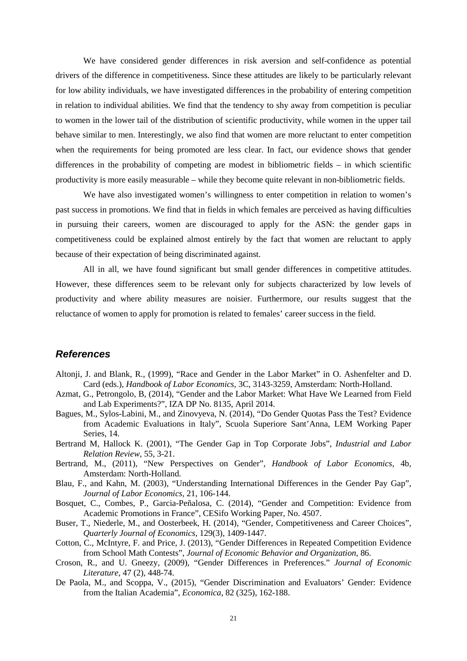We have considered gender differences in risk aversion and self-confidence as potential drivers of the difference in competitiveness. Since these attitudes are likely to be particularly relevant for low ability individuals, we have investigated differences in the probability of entering competition in relation to individual abilities. We find that the tendency to shy away from competition is peculiar to women in the lower tail of the distribution of scientific productivity, while women in the upper tail behave similar to men. Interestingly, we also find that women are more reluctant to enter competition when the requirements for being promoted are less clear. In fact, our evidence shows that gender differences in the probability of competing are modest in bibliometric fields – in which scientific productivity is more easily measurable – while they become quite relevant in non-bibliometric fields.

We have also investigated women's willingness to enter competition in relation to women's past success in promotions. We find that in fields in which females are perceived as having difficulties in pursuing their careers, women are discouraged to apply for the ASN: the gender gaps in competitiveness could be explained almost entirely by the fact that women are reluctant to apply because of their expectation of being discriminated against.

All in all, we have found significant but small gender differences in competitive attitudes. However, these differences seem to be relevant only for subjects characterized by low levels of productivity and where ability measures are noisier. Furthermore, our results suggest that the reluctance of women to apply for promotion is related to females' career success in the field.

#### *References*

- Altonji, J. and Blank, R., (1999), "Race and Gender in the Labor Market" in O. Ashenfelter and D. Card (eds.), *Handbook of Labor Economics*, 3C, 3143-3259, Amsterdam: North-Holland.
- Azmat, G., Petrongolo, B, (2014), "Gender and the Labor Market: What Have We Learned from Field and Lab Experiments?", IZA DP No. 8135, April 2014.
- Bagues, M., Sylos-Labini, M., and Zinovyeva, N. (2014), "Do Gender Quotas Pass the Test? Evidence from Academic Evaluations in Italy", Scuola Superiore Sant'Anna, LEM Working Paper Series, 14.
- Bertrand M, Hallock K. (2001), "The Gender Gap in Top Corporate Jobs", *Industrial and Labor Relation Review*, 55, 3-21.
- Bertrand, M., (2011), "New Perspectives on Gender", *Handbook of Labor Economics*, 4b, Amsterdam: North-Holland.
- Blau, F., and Kahn, M. (2003), "Understanding International Differences in the Gender Pay Gap", *Journal of Labor Economics*, 21, 106-144.
- Bosquet, C., Combes, P., Garcia-Peñalosa, C. (2014), "Gender and Competition: Evidence from Academic Promotions in France", CESifo Working Paper, No. 4507.
- Buser, T., Niederle, M., and Oosterbeek, H. (2014), "Gender, Competitiveness and Career Choices", *Quarterly Journal of Economics*, 129(3), 1409-1447.
- Cotton, C., McIntyre, F. and Price, J. (2013), "Gender Differences in Repeated Competition Evidence from School Math Contests", *Journal of Economic Behavior and Organization*, 86.
- Croson, R., and U. Gneezy, (2009), "Gender Differences in Preferences." *Journal of Economic Literature*, 47 (2), 448-74.
- De Paola, M., and Scoppa, V., (2015), "Gender Discrimination and Evaluators' Gender: Evidence from the Italian Academia", *Economica*, 82 (325), 162-188.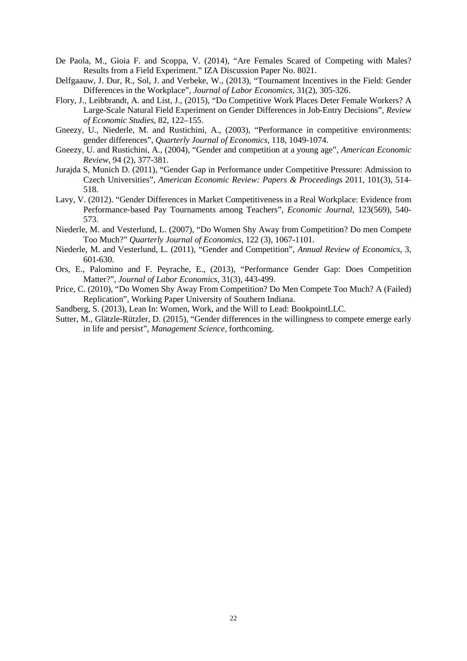- De Paola, M., Gioia F. and Scoppa, V. (2014), "Are Females Scared of Competing with Males? Results from a Field Experiment." IZA Discussion Paper No. 8021.
- Delfgaauw, J. Dur, R., Sol, J. and Verbeke, W., (2013), "Tournament Incentives in the Field: Gender Differences in the Workplace", *Journal of Labor Economics*, 31(2), 305-326.
- Flory, J., Leibbrandt, A. and List, J., (2015), "Do Competitive Work Places Deter Female Workers? A Large-Scale Natural Field Experiment on Gender Differences in Job-Entry Decisions", *Review of Economic Studies*, 82, 122–155.
- Gneezy, U., Niederle, M. and Rustichini, A., (2003), "Performance in competitive environments: gender differences", *Quarterly Journal of Economics*, 118, 1049-1074.
- Gneezy, U. and Rustichini, A., (2004), "Gender and competition at a young age", *American Economic Review*, 94 (2), 377-381.
- Jurajda S, Munich D. (2011), "Gender Gap in Performance under Competitive Pressure: Admission to Czech Universities", *American Economic Review: Papers & Proceedings* 2011, 101(3), 514- 518.
- Lavy, V. (2012). "Gender Differences in Market Competitiveness in a Real Workplace: Evidence from Performance‐based Pay Tournaments among Teachers", *Economic Journal,* 123(569), 540- 573.
- Niederle, M. and Vesterlund, L. (2007), "Do Women Shy Away from Competition? Do men Compete Too Much?" *Quarterly Journal of Economics*, 122 (3), 1067-1101.
- Niederle, M. and Vesterlund, L. (2011), "Gender and Competition", *Annual Review of Economics*, 3, 601-630.
- Ors, E., Palomino and F. Peyrache, E., (2013), "Performance Gender Gap: Does Competition Matter?", *Journal of Labor Economics*, 31(3), 443-499.
- Price, C. (2010), "Do Women Shy Away From Competition? Do Men Compete Too Much? A (Failed) Replication", Working Paper University of Southern Indiana.
- Sandberg, S. (2013), Lean In: Women, Work, and the Will to Lead: BookpointLLC.
- Sutter, M., Glätzle-Rützler, D. (2015), "Gender differences in the willingness to compete emerge early in life and persist", *Management Science*, forthcoming.